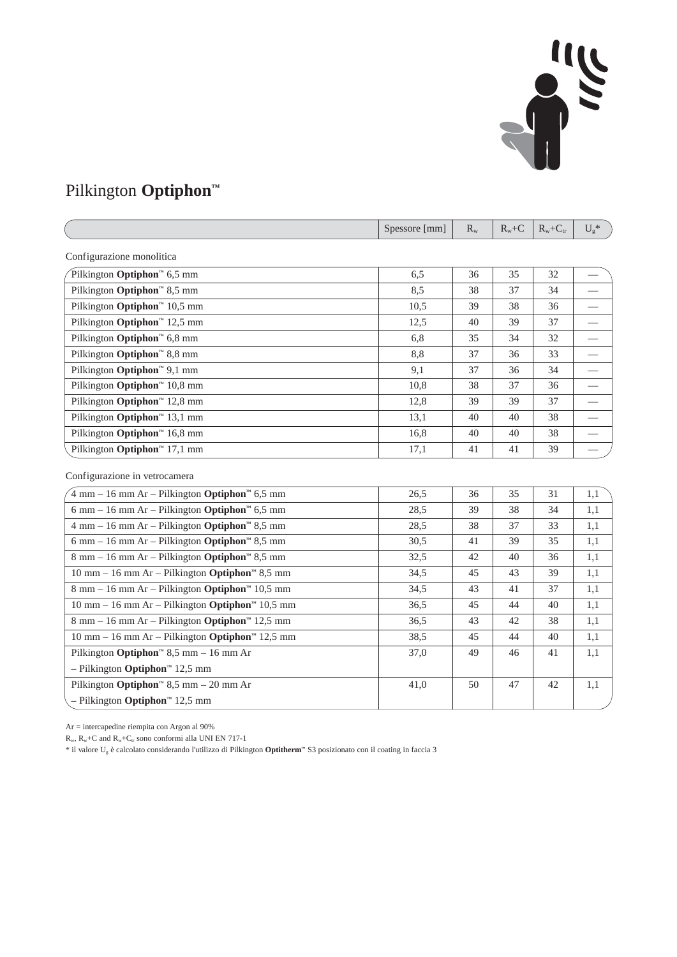## 

## Pilkington **Optiphon™**

|                                                                                              | Spessore [mm] | $R_{w}$ | $R_w + C$ | $R_w + C_{tr}$ | $U_g$ *                  |
|----------------------------------------------------------------------------------------------|---------------|---------|-----------|----------------|--------------------------|
| Configurazione monolitica                                                                    |               |         |           |                |                          |
| Pilkington Optiphon <sup><math>\text{m}</math></sup> 6,5 mm                                  | 6,5           | 36      | 35        | 32             |                          |
| Pilkington Optiphon <sup>™</sup> 8,5 mm                                                      | 8,5           | 38      | 37        | 34             |                          |
| Pilkington $\text{Option}^m$ 10,5 mm                                                         | 10,5          | 39      | 38        | 36             |                          |
| Pilkington Optiphon™ 12,5 mm                                                                 | 12,5          | 40      | 39        | 37             |                          |
| Pilkington Optiphon <sup>™</sup> 6,8 mm                                                      | 6,8           | 35      | 34        | 32             | $\overline{\phantom{0}}$ |
| Pilkington Optiphon <sup>™</sup> 8,8 mm                                                      | 8,8           | 37      | 36        | 33             |                          |
| Pilkington Optiphon <sup>™</sup> 9,1 mm                                                      | 9,1           | 37      | 36        | 34             |                          |
| Pilkington Optiphon™ 10,8 mm                                                                 | 10,8          | 38      | 37        | 36             |                          |
| Pilkington Optiphon™ 12,8 mm                                                                 | 12,8          | 39      | 39        | 37             |                          |
| Pilkington Optiphon™ 13,1 mm                                                                 | 13,1          | 40      | 40        | 38             |                          |
| Pilkington Optiphon™ 16,8 mm                                                                 | 16,8          | 40      | 40        | 38             |                          |
| Pilkington Optiphon™ 17,1 mm                                                                 | 17,1          | 41      | 41        | 39             |                          |
| Configurazione in vetrocamera                                                                |               |         |           |                |                          |
| $4 \text{ mm} - 16 \text{ mm Ar} -$ Pilkington <b>Optiphon</b> <sup>16</sup> 6,5 mm          | 26,5          | 36      | 35        | 31             | 1,1                      |
| 6 mm - 16 mm Ar - Pilkington Optiphon <sup>16</sup> 6,5 mm                                   | 28,5          | 39      | 38        | 34             | 1,1                      |
| $4$ mm $-16$ mm Ar $-$ Pilkington <b>Optiphon</b> <sup><math>\text{m}</math></sup> 8,5 mm    | 28,5          | 38      | 37        | 33             | 1,1                      |
| 6 mm – 16 mm Ar – Pilkington Optiphon™ 8,5 mm                                                | 30,5          | 41      | 39        | 35             | 1,1                      |
| 8 mm – 16 mm Ar – Pilkington <b>Optiphon</b> <sup>164</sup> 8,5 mm                           | 32,5          | 42      | 40        | 36             | 1,1                      |
| $10$ mm $- 16$ mm Ar $-$ Pilkington <b>Optiphon</b> <sup>36</sup> 8,5 mm                     | 34,5          | 45      | 43        | 39             | 1,1                      |
| $8$ mm – 16 mm Ar – Pilkington <b>Optiphon</b> <sup>14</sup> 10,5 mm                         | 34,5          | 43      | 41        | 37             | 1,1                      |
| $10$ mm $- 16$ mm Ar $-$ Pilkington <b>Optiphon</b> <sup><math>\text{m}</math></sup> 10,5 mm | 36,5          | 45      | 44        | 40             | 1,1                      |
| $8 \text{ mm} - 16 \text{ mm Ar} -$ Pilkington <b>Optiphon</b> <sup>14</sup> 12,5 mm         | 36,5          | 43      | 42        | 38             | 1,1                      |
| $10$ mm $- 16$ mm Ar $-$ Pilkington <b>Optiphon</b> <sup><math>\text{m}</math></sup> 12,5 mm | 38,5          | 45      | 44        | 40             | 1,1                      |
| Pilkington Optiphon <sup><math>m</math></sup> 8,5 mm - 16 mm Ar                              | 37,0          | 49      | 46        | 41             | 1,1                      |
| $-$ Pilkington <b>Optiphon</b> <sup>14</sup> 12,5 mm                                         |               |         |           |                |                          |
| Pilkington Optiphon <sup><math>m</math></sup> 8,5 mm – 20 mm Ar                              | 41,0          | 50      | 47        | 42             | 1,1                      |
| - Pilkington Optiphon <sup>1M</sup> 12,5 mm                                                  |               |         |           |                |                          |

Ar = intercapedine riempita con Argon al 90%

 $R_{\rm w}, R_{\rm w}+C$  and  $R_{\rm w}+C_{\rm tr}$  sono conformi alla UNI EN 717-1

\* il valore Ug è calcolato considerando l'utilizzo di Pilkington **Optitherm™** S3 posizionato con il coating in faccia 3